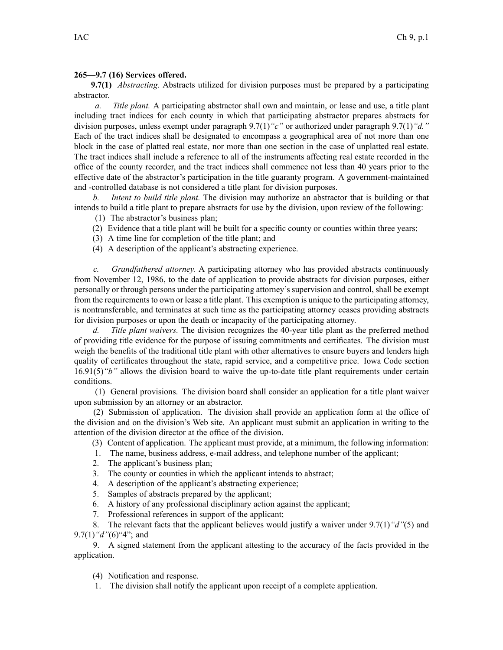## **265—9.7 (16) Services offered.**

**9.7(1)** *Abstracting.* Abstracts utilized for division purposes must be prepared by <sup>a</sup> participating abstractor.

*a. Title plant.* A participating abstractor shall own and maintain, or lease and use, <sup>a</sup> title plant including tract indices for each county in which that participating abstractor prepares abstracts for division purposes, unless exemp<sup>t</sup> under paragraph 9.7(1)*"c"* or authorized under paragraph 9.7(1)*"d."* Each of the tract indices shall be designated to encompass <sup>a</sup> geographical area of not more than one block in the case of platted real estate, nor more than one section in the case of unplatted real estate. The tract indices shall include <sup>a</sup> reference to all of the instruments affecting real estate recorded in the office of the county recorder, and the tract indices shall commence not less than 40 years prior to the effective date of the abstractor's participation in the title guaranty program. A government-maintained and -controlled database is not considered <sup>a</sup> title plant for division purposes.

*b. Intent to build title plant.* The division may authorize an abstractor that is building or that intends to build <sup>a</sup> title plant to prepare abstracts for use by the division, upon review of the following:

- (1) The abstractor's business plan;
- (2) Evidence that <sup>a</sup> title plant will be built for <sup>a</sup> specific county or counties within three years;
- (3) A time line for completion of the title plant; and
- (4) A description of the applicant's abstracting experience.

*c. Grandfathered attorney.* A participating attorney who has provided abstracts continuously from November 12, 1986, to the date of application to provide abstracts for division purposes, either personally or through persons under the participating attorney's supervision and control, shall be exemp<sup>t</sup> from the requirements to own or lease a title plant. This exemption is unique to the participating attorney, is nontransferable, and terminates at such time as the participating attorney ceases providing abstracts for division purposes or upon the death or incapacity of the participating attorney.

*d. Title plant waivers.* The division recognizes the 40-year title plant as the preferred method of providing title evidence for the purpose of issuing commitments and certificates. The division must weigh the benefits of the traditional title plant with other alternatives to ensure buyers and lenders high quality of certificates throughout the state, rapid service, and <sup>a</sup> competitive price. Iowa Code section [16.91\(5\)](https://www.legis.iowa.gov/docs/ico/section/16.91.pdf)*"b"* allows the division board to waive the up-to-date title plant requirements under certain conditions.

(1) General provisions. The division board shall consider an application for <sup>a</sup> title plant waiver upon submission by an attorney or an abstractor.

(2) Submission of application. The division shall provide an application form at the office of the division and on the division's Web site. An applicant must submit an application in writing to the attention of the division director at the office of the division.

- (3) Content of application. The applicant must provide, at <sup>a</sup> minimum, the following information:
- 1. The name, business address, e-mail address, and telephone number of the applicant;
- 2. The applicant's business plan;
- 3. The county or counties in which the applicant intends to abstract;
- 4. A description of the applicant's abstracting experience;
- 5. Samples of abstracts prepared by the applicant;
- 6. A history of any professional disciplinary action against the applicant;
- 7. Professional references in suppor<sup>t</sup> of the applicant;

8. The relevant facts that the applicant believes would justify <sup>a</sup> waiver under 9.7(1)*"d"*(5) and 9.7(1)*"d"*(6)"4"; and

9. A signed statement from the applicant attesting to the accuracy of the facts provided in the application.

(4) Notification and response.

1. The division shall notify the applicant upon receipt of <sup>a</sup> complete application.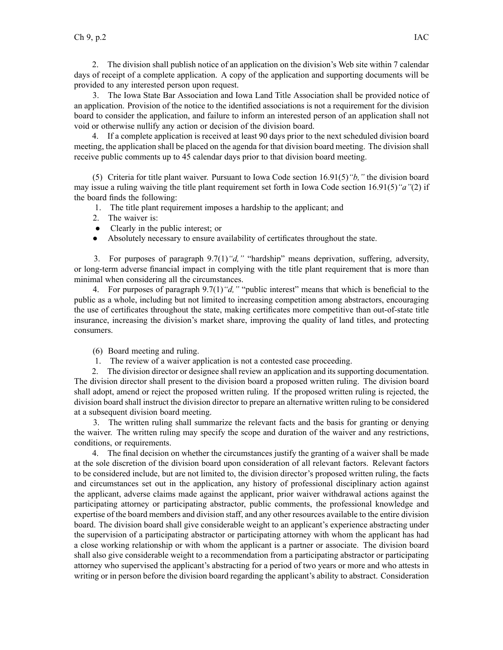2. The division shall publish notice of an application on the division's Web site within 7 calendar days of receipt of <sup>a</sup> complete application. A copy of the application and supporting documents will be provided to any interested person upon request.

3. The Iowa State Bar Association and Iowa Land Title Association shall be provided notice of an application. Provision of the notice to the identified associations is not <sup>a</sup> requirement for the division board to consider the application, and failure to inform an interested person of an application shall not void or otherwise nullify any action or decision of the division board.

4. If <sup>a</sup> complete application is received at least 90 days prior to the next scheduled division board meeting, the application shall be placed on the agenda for that division board meeting. The division shall receive public comments up to 45 calendar days prior to that division board meeting.

(5) Criteria for title plant waiver. Pursuant to Iowa Code section [16.91\(5\)](https://www.legis.iowa.gov/docs/ico/section/16.91.pdf)*"b,"* the division board may issue <sup>a</sup> ruling waiving the title plant requirement set forth in Iowa Code section [16.91\(5\)](https://www.legis.iowa.gov/docs/ico/section/16.91.pdf)*"a"*(2) if the board finds the following:

1. The title plant requirement imposes <sup>a</sup> hardship to the applicant; and

- 2. The waiver is:
- Clearly in the public interest; or
- $\bullet$ Absolutely necessary to ensure availability of certificates throughout the state.

3. For purposes of paragraph 9.7(1)*"d,"* "hardship" means deprivation, suffering, adversity, or long-term adverse financial impact in complying with the title plant requirement that is more than minimal when considering all the circumstances.

4. For purposes of paragraph 9.7(1)*"d,"* "public interest" means that which is beneficial to the public as <sup>a</sup> whole, including but not limited to increasing competition among abstractors, encouraging the use of certificates throughout the state, making certificates more competitive than out-of-state title insurance, increasing the division's market share, improving the quality of land titles, and protecting consumers.

(6) Board meeting and ruling.

1. The review of <sup>a</sup> waiver application is not <sup>a</sup> contested case proceeding.

2. The division director or designee shall review an application and its supporting documentation. The division director shall presen<sup>t</sup> to the division board <sup>a</sup> proposed written ruling. The division board shall adopt, amend or reject the proposed written ruling. If the proposed written ruling is rejected, the division board shall instruct the division director to prepare an alternative written ruling to be considered at <sup>a</sup> subsequent division board meeting.

3. The written ruling shall summarize the relevant facts and the basis for granting or denying the waiver. The written ruling may specify the scope and duration of the waiver and any restrictions, conditions, or requirements.

4. The final decision on whether the circumstances justify the granting of <sup>a</sup> waiver shall be made at the sole discretion of the division board upon consideration of all relevant factors. Relevant factors to be considered include, but are not limited to, the division director's proposed written ruling, the facts and circumstances set out in the application, any history of professional disciplinary action against the applicant, adverse claims made against the applicant, prior waiver withdrawal actions against the participating attorney or participating abstractor, public comments, the professional knowledge and expertise of the board members and division staff, and any other resources available to the entire division board. The division board shall give considerable weight to an applicant's experience abstracting under the supervision of <sup>a</sup> participating abstractor or participating attorney with whom the applicant has had <sup>a</sup> close working relationship or with whom the applicant is <sup>a</sup> partner or associate. The division board shall also give considerable weight to <sup>a</sup> recommendation from <sup>a</sup> participating abstractor or participating attorney who supervised the applicant's abstracting for <sup>a</sup> period of two years or more and who attests in writing or in person before the division board regarding the applicant's ability to abstract. Consideration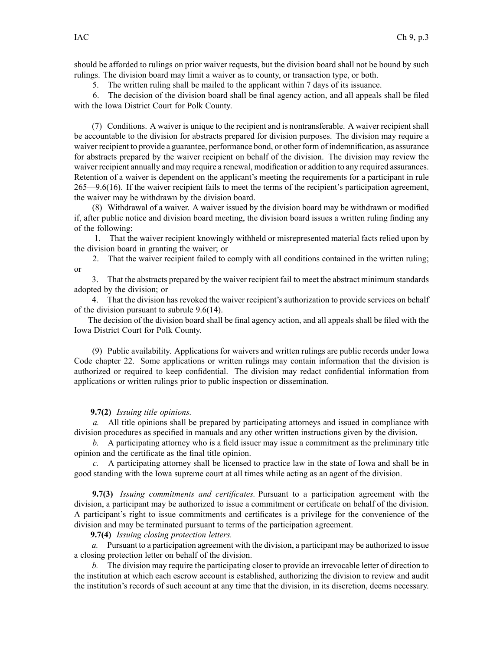should be afforded to rulings on prior waiver requests, but the division board shall not be bound by such rulings. The division board may limit <sup>a</sup> waiver as to county, or transaction type, or both.

5. The written ruling shall be mailed to the applicant within 7 days of its issuance.

6. The decision of the division board shall be final agency action, and all appeals shall be filed with the Iowa District Court for Polk County.

(7) Conditions. A waiver is unique to the recipient and is nontransferable. A waiver recipient shall be accountable to the division for abstracts prepared for division purposes. The division may require <sup>a</sup> waiver recipient to provide <sup>a</sup> guarantee, performance bond, or other form of indemnification, as assurance for abstracts prepared by the waiver recipient on behalf of the division. The division may review the waiver recipient annually and may require <sup>a</sup> renewal, modification or addition to any required assurances. Retention of <sup>a</sup> waiver is dependent on the applicant's meeting the requirements for <sup>a</sup> participant in rule 265—9.6(16). If the waiver recipient fails to meet the terms of the recipient's participation agreement, the waiver may be withdrawn by the division board.

(8) Withdrawal of <sup>a</sup> waiver. A waiver issued by the division board may be withdrawn or modified if, after public notice and division board meeting, the division board issues <sup>a</sup> written ruling finding any of the following:

1. That the waiver recipient knowingly withheld or misrepresented material facts relied upon by the division board in granting the waiver; or

2. That the waiver recipient failed to comply with all conditions contained in the written ruling; or

3. That the abstracts prepared by the waiver recipient fail to meet the abstract minimum standards adopted by the division; or

4. That the division has revoked the waiver recipient's authorization to provide services on behalf of the division pursuan<sup>t</sup> to subrule 9.6(14).

The decision of the division board shall be final agency action, and all appeals shall be filed with the Iowa District Court for Polk County.

(9) Public availability. Applications for waivers and written rulings are public records under Iowa Code chapter [22](https://www.legis.iowa.gov/docs/ico/chapter/22.pdf). Some applications or written rulings may contain information that the division is authorized or required to keep confidential. The division may redact confidential information from applications or written rulings prior to public inspection or dissemination.

## **9.7(2)** *Issuing title opinions.*

*a.* All title opinions shall be prepared by participating attorneys and issued in compliance with division procedures as specified in manuals and any other written instructions given by the division.

*b.* A participating attorney who is <sup>a</sup> field issuer may issue <sup>a</sup> commitment as the preliminary title opinion and the certificate as the final title opinion.

*c.* A participating attorney shall be licensed to practice law in the state of Iowa and shall be in good standing with the Iowa supreme court at all times while acting as an agen<sup>t</sup> of the division.

**9.7(3)** *Issuing commitments and certificates.* Pursuant to <sup>a</sup> participation agreemen<sup>t</sup> with the division, <sup>a</sup> participant may be authorized to issue <sup>a</sup> commitment or certificate on behalf of the division. A participant's right to issue commitments and certificates is <sup>a</sup> privilege for the convenience of the division and may be terminated pursuan<sup>t</sup> to terms of the participation agreement.

**9.7(4)** *Issuing closing protection letters.*

*a.* Pursuant to <sup>a</sup> participation agreemen<sup>t</sup> with the division, <sup>a</sup> participant may be authorized to issue <sup>a</sup> closing protection letter on behalf of the division.

*b.* The division may require the participating closer to provide an irrevocable letter of direction to the institution at which each escrow account is established, authorizing the division to review and audit the institution's records of such account at any time that the division, in its discretion, deems necessary.